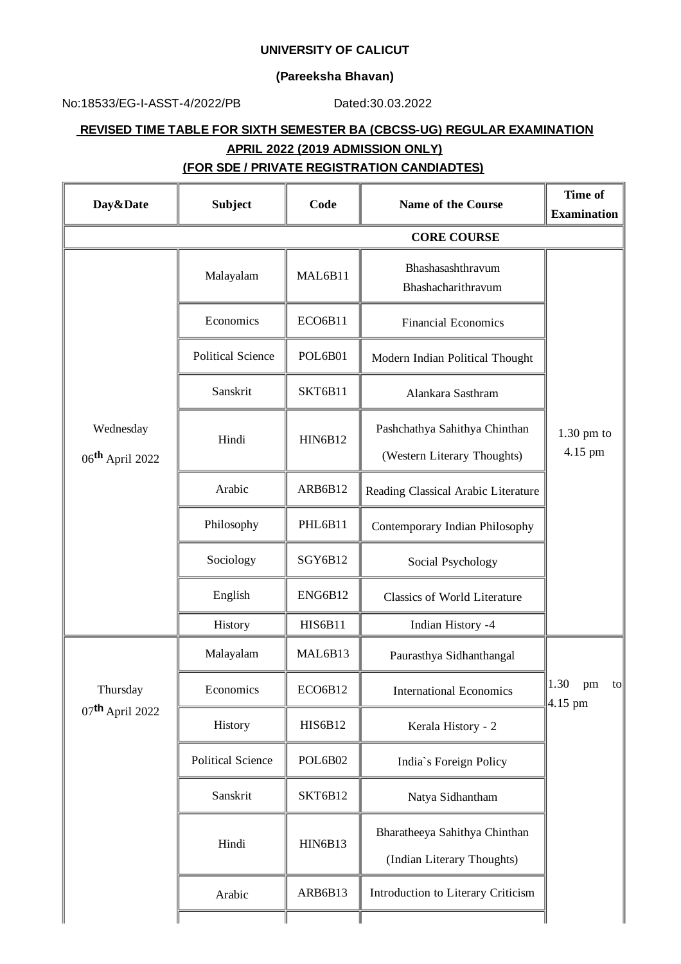## **UNIVERSITY OF CALICUT**

## **(Pareeksha Bhavan)**

No:18533/EG-I-ASST-4/2022/PB Dated:30.03.2022

## **REVISED TIME TABLE FOR SIXTH SEMESTER BA (CBCSS-UG) REGULAR EXAMINATION APRIL 2022 (2019 ADMISSION ONLY)**

## **(FOR SDE / PRIVATE REGISTRATION CANDIADTES)**

| Day&Date                                  | <b>Subject</b>           | Code           | <b>Name of the Course</b>                                    | <b>Time of</b><br><b>Examination</b>     |
|-------------------------------------------|--------------------------|----------------|--------------------------------------------------------------|------------------------------------------|
|                                           |                          |                | <b>CORE COURSE</b>                                           |                                          |
|                                           | Malayalam                | MAL6B11        | Bhashasashthravum<br>Bhashacharithravum                      |                                          |
|                                           | Economics                | ECO6B11        | <b>Financial Economics</b>                                   |                                          |
|                                           | <b>Political Science</b> | POL6B01        | Modern Indian Political Thought                              |                                          |
|                                           | Sanskrit                 | SKT6B11        | Alankara Sasthram                                            |                                          |
| Wednesday<br>06 <sup>th</sup> April 2022  | Hindi                    | <b>HIN6B12</b> | Pashchathya Sahithya Chinthan<br>(Western Literary Thoughts) | $1.30$ pm to<br>4.15 pm                  |
|                                           | Arabic                   | ARB6B12        | Reading Classical Arabic Literature                          |                                          |
|                                           | Philosophy               | PHL6B11        | Contemporary Indian Philosophy                               |                                          |
|                                           | Sociology                | SGY6B12        | Social Psychology                                            |                                          |
|                                           | English                  | ENG6B12        | Classics of World Literature                                 |                                          |
|                                           | History                  | <b>HIS6B11</b> | Indian History -4                                            |                                          |
| Thursday<br>$07$ <sup>th</sup> April 2022 | Malayalam                | MAL6B13        | Paurasthya Sidhanthangal                                     |                                          |
|                                           | Economics                | ECO6B12        | <b>International Economics</b>                               | 1.30<br>pm<br>$\mathsf{to}$<br>$4.15$ pm |
|                                           | History                  | <b>HIS6B12</b> | Kerala History - 2                                           |                                          |
|                                           | <b>Political Science</b> | POL6B02        | India's Foreign Policy                                       |                                          |
|                                           | Sanskrit                 | SKT6B12        | Natya Sidhantham                                             |                                          |
|                                           | Hindi                    | <b>HIN6B13</b> | Bharatheeya Sahithya Chinthan<br>(Indian Literary Thoughts)  |                                          |
|                                           | Arabic                   | ARB6B13        | Introduction to Literary Criticism                           |                                          |
|                                           |                          |                |                                                              |                                          |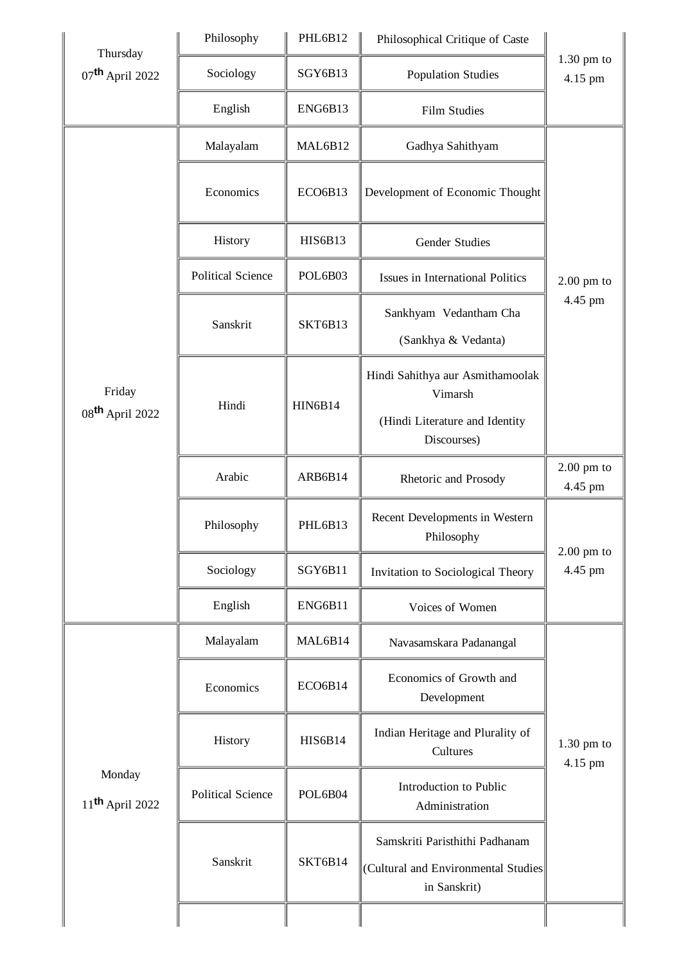| Thursday                                | Philosophy               | PHL6B12        | Philosophical Critique of Caste                                                              |                         |
|-----------------------------------------|--------------------------|----------------|----------------------------------------------------------------------------------------------|-------------------------|
| $07$ <sup>th</sup> April 2022           | Sociology                | SGY6B13        | <b>Population Studies</b>                                                                    | $1.30$ pm to<br>4.15 pm |
|                                         | English                  | ENG6B13        | <b>Film Studies</b>                                                                          |                         |
|                                         | Malayalam                | MAL6B12        | Gadhya Sahithyam                                                                             |                         |
|                                         | Economics                | ECO6B13        | Development of Economic Thought                                                              |                         |
|                                         | History                  | <b>HIS6B13</b> | <b>Gender Studies</b>                                                                        |                         |
|                                         | <b>Political Science</b> | POL6B03        | Issues in International Politics                                                             | $2.00$ pm to            |
|                                         | Sanskrit                 | SKT6B13        | Sankhyam Vedantham Cha<br>(Sankhya & Vedanta)                                                | 4.45 pm                 |
| Friday<br>08 <sup>th</sup> April 2022   | Hindi                    | <b>HIN6B14</b> | Hindi Sahithya aur Asmithamoolak<br>Vimarsh<br>(Hindi Literature and Identity<br>Discourses) |                         |
|                                         | Arabic                   | ARB6B14        | Rhetoric and Prosody                                                                         | $2.00$ pm to<br>4.45 pm |
|                                         | Philosophy               | PHL6B13        | Recent Developments in Western<br>Philosophy                                                 | $2.00$ pm to            |
|                                         | Sociology                | SGY6B11        | Invitation to Sociological Theory                                                            | 4.45 pm                 |
|                                         | English                  | ENG6B11        | Voices of Women                                                                              |                         |
|                                         | Malayalam                | MAL6B14        | Navasamskara Padanangal                                                                      |                         |
|                                         | Economics                | ECO6B14        | Economics of Growth and<br>Development                                                       |                         |
|                                         | History                  | <b>HIS6B14</b> | Indian Heritage and Plurality of<br>Cultures                                                 | $1.30$ pm to<br>4.15 pm |
| Monday<br>$11$ <sup>th</sup> April 2022 | <b>Political Science</b> | POL6B04        | Introduction to Public<br>Administration                                                     |                         |
|                                         | Sanskrit                 | SKT6B14        | Samskriti Paristhithi Padhanam<br>(Cultural and Environmental Studies<br>in Sanskrit)        |                         |
|                                         |                          |                |                                                                                              |                         |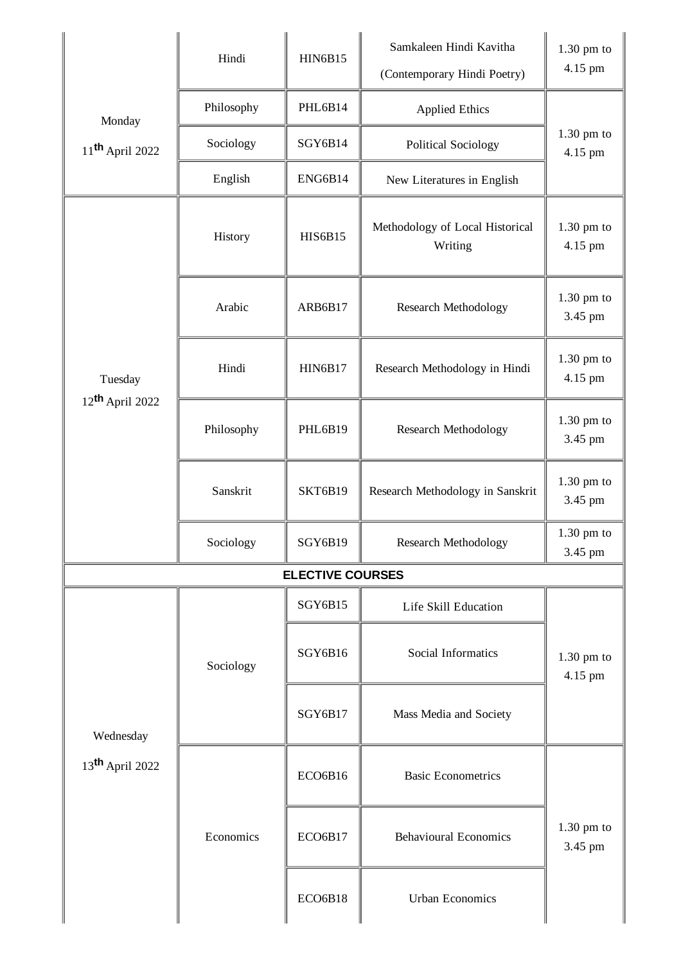|                                          | Hindi      | <b>HIN6B15</b>          | Samkaleen Hindi Kavitha<br>(Contemporary Hindi Poetry) | $1.30$ pm to<br>4.15 pm |
|------------------------------------------|------------|-------------------------|--------------------------------------------------------|-------------------------|
| Monday                                   | Philosophy | PHL6B14                 | <b>Applied Ethics</b>                                  |                         |
| $11$ <sup>th</sup> April 2022            | Sociology  | SGY6B14                 | <b>Political Sociology</b>                             | $1.30$ pm to<br>4.15 pm |
|                                          | English    | ENG6B14                 | New Literatures in English                             |                         |
| Tuesday<br>$12$ <sup>th</sup> April 2022 | History    | <b>HIS6B15</b>          | Methodology of Local Historical<br>Writing             | $1.30$ pm to<br>4.15 pm |
|                                          | Arabic     | ARB6B17                 | <b>Research Methodology</b>                            | $1.30$ pm to<br>3.45 pm |
|                                          | Hindi      | <b>HIN6B17</b>          | Research Methodology in Hindi                          | $1.30$ pm to<br>4.15 pm |
|                                          | Philosophy | PHL6B19                 | <b>Research Methodology</b>                            | $1.30$ pm to<br>3.45 pm |
|                                          | Sanskrit   | SKT6B19                 | Research Methodology in Sanskrit                       | $1.30$ pm to<br>3.45 pm |
|                                          | Sociology  | SGY6B19                 | <b>Research Methodology</b>                            | $1.30$ pm to<br>3.45 pm |
|                                          |            | <b>ELECTIVE COURSES</b> |                                                        |                         |
|                                          |            | SGY6B15                 | Life Skill Education                                   |                         |
|                                          | Sociology  | SGY6B16                 | Social Informatics                                     | $1.30$ pm to<br>4.15 pm |
| Wednesday<br>13 <sup>th</sup> April 2022 |            | SGY6B17                 | Mass Media and Society                                 |                         |
|                                          | Economics  | ECO6B16                 | <b>Basic Econometrics</b>                              | $1.30$ pm to<br>3.45 pm |
|                                          |            | ECO6B17                 | <b>Behavioural Economics</b>                           |                         |
|                                          |            | ECO6B18                 | <b>Urban Economics</b>                                 |                         |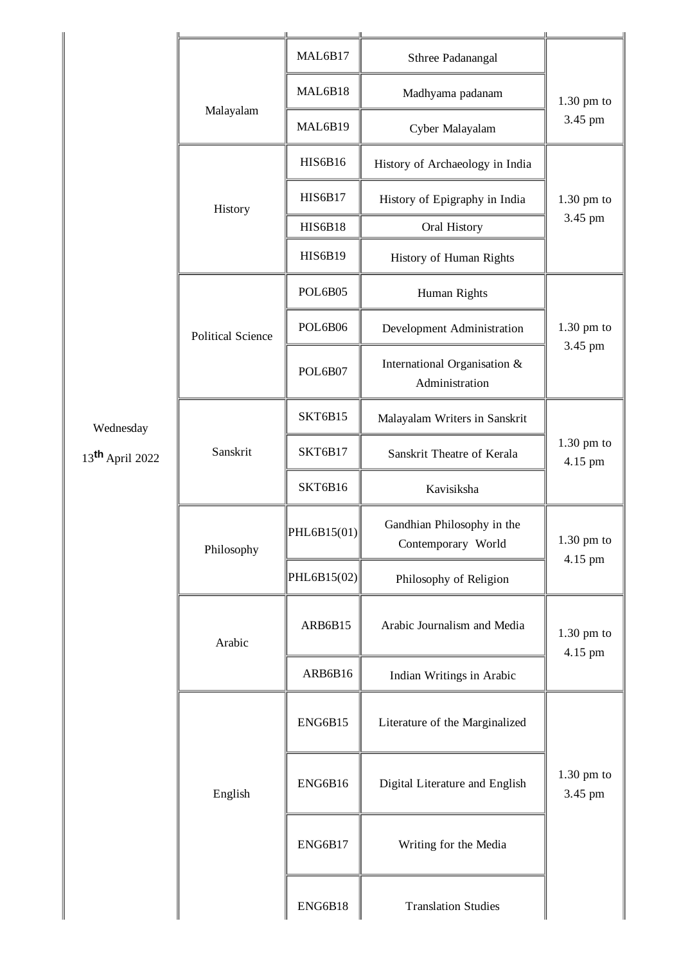|                             |                          | MAL6B17             | Sthree Padanangal                                |                         |
|-----------------------------|--------------------------|---------------------|--------------------------------------------------|-------------------------|
|                             | Malayalam                | MAL6B18             | Madhyama padanam                                 | $1.30$ pm to            |
|                             |                          | MAL6B19             | Cyber Malayalam                                  | 3.45 pm                 |
|                             | History                  | <b>HIS6B16</b>      | History of Archaeology in India                  |                         |
|                             |                          | <b>HIS6B17</b>      | History of Epigraphy in India                    | $1.30$ pm to            |
|                             |                          | <b>HIS6B18</b>      | Oral History                                     | 3.45 pm                 |
|                             |                          | <b>HIS6B19</b>      | History of Human Rights                          |                         |
|                             |                          | POL6B05             | Human Rights                                     |                         |
|                             | <b>Political Science</b> | POL6B06             | Development Administration                       | $1.30$ pm to<br>3.45 pm |
|                             |                          | POL6B07             | International Organisation &<br>Administration   |                         |
| Wednesday                   | Sanskrit                 | SKT6B15             | Malayalam Writers in Sanskrit                    | $1.30$ pm to<br>4.15 pm |
| 13 <sup>th</sup> April 2022 |                          | SKT6B17             | Sanskrit Theatre of Kerala                       |                         |
|                             |                          | SKT6B16             | Kavisiksha                                       |                         |
|                             | Philosophy               | $ $ PHL6B15(01) $ $ | Gandhian Philosophy in the<br>Contemporary World | $1.30$ pm to<br>4.15 pm |
|                             |                          | PHL6B15(02)         | Philosophy of Religion                           |                         |
|                             | Arabic                   | ARB6B15             | Arabic Journalism and Media                      | $1.30$ pm to<br>4.15 pm |
|                             |                          | ARB6B16             | Indian Writings in Arabic                        |                         |
|                             | English                  | ENG6B15             | Literature of the Marginalized                   |                         |
|                             |                          | ENG6B16             | Digital Literature and English                   | $1.30$ pm to<br>3.45 pm |
|                             |                          | ENG6B17             | Writing for the Media                            |                         |
|                             |                          | ENG6B18             | <b>Translation Studies</b>                       |                         |